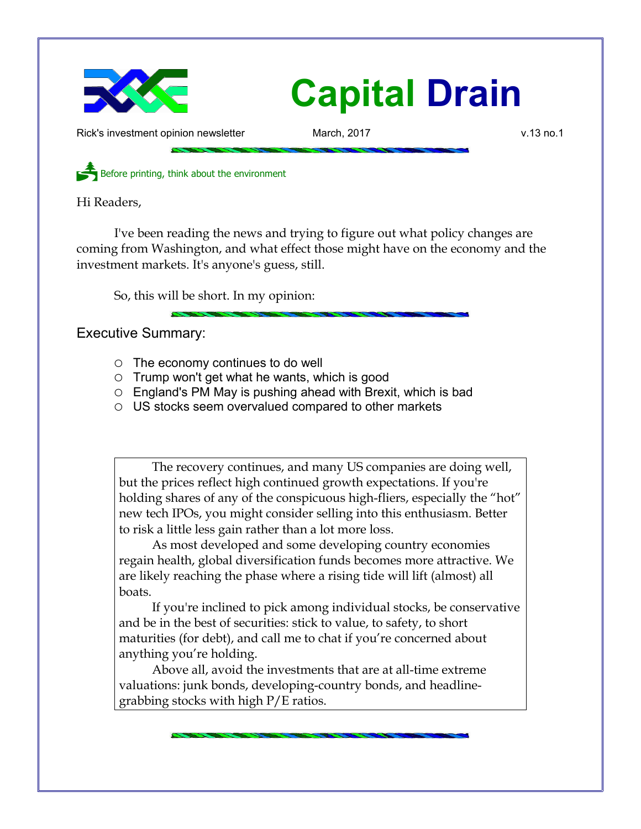

## **Capital Drain**

Rick's investment opinion newsletter March, 2017 **March, 2017** v.13 no.1

Before printing, think about the environment

Hi Readers,

I've been reading the news and trying to figure out what policy changes are coming from Washington, and what effect those might have on the economy and the investment markets. It's anyone's guess, still.

So, this will be short. In my opinion:

Executive Summary:

- $\circ$  The economy continues to do well
- $\circ$  Trump won't get what he wants, which is good
- $\circ$  England's PM May is pushing ahead with Brexit, which is bad
- US stocks seem overvalued compared to other markets

The recovery continues, and many US companies are doing well, but the prices reflect high continued growth expectations. If you're holding shares of any of the conspicuous high-fliers, especially the "hot" new tech IPOs, you might consider selling into this enthusiasm. Better to risk a little less gain rather than a lot more loss.

As most developed and some developing country economies regain health, global diversification funds becomes more attractive. We are likely reaching the phase where a rising tide will lift (almost) all boats.

If you're inclined to pick among individual stocks, be conservative and be in the best of securities: stick to value, to safety, to short maturities (for debt), and call me to chat if you're concerned about anything you're holding.

Above all, avoid the investments that are at all-time extreme valuations: junk bonds, developing-country bonds, and headlinegrabbing stocks with high P/E ratios.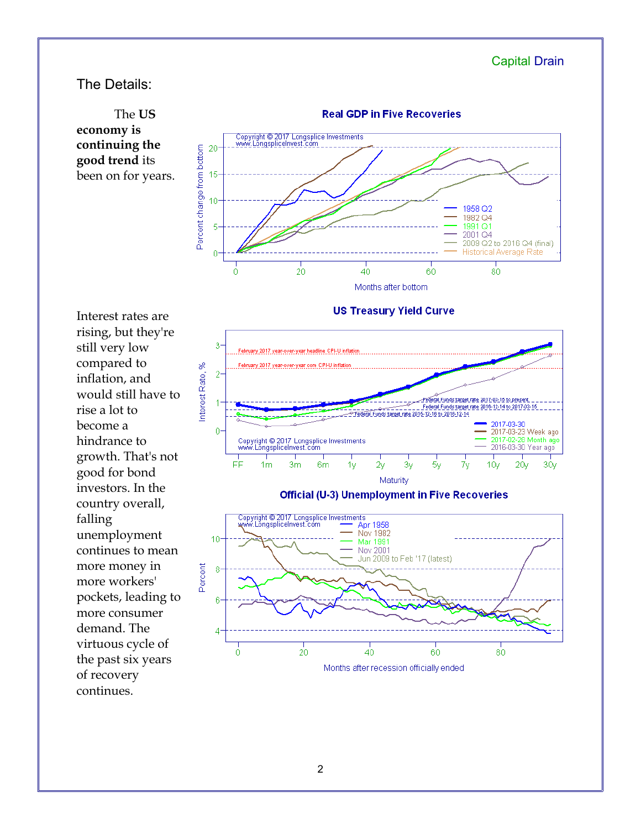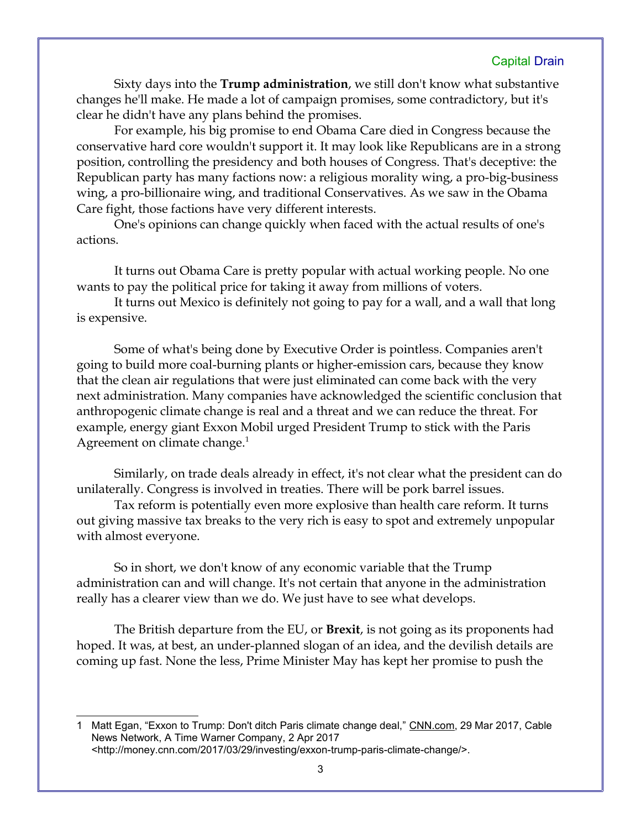## Capital Drain

Sixty days into the **Trump administration**, we still don't know what substantive changes he'll make. He made a lot of campaign promises, some contradictory, but it's clear he didn't have any plans behind the promises.

For example, his big promise to end Obama Care died in Congress because the conservative hard core wouldn't support it. It may look like Republicans are in a strong position, controlling the presidency and both houses of Congress. That's deceptive: the Republican party has many factions now: a religious morality wing, a pro-big-business wing, a pro-billionaire wing, and traditional Conservatives. As we saw in the Obama Care fight, those factions have very different interests.

One's opinions can change quickly when faced with the actual results of one's actions.

It turns out Obama Care is pretty popular with actual working people. No one wants to pay the political price for taking it away from millions of voters.

It turns out Mexico is definitely not going to pay for a wall, and a wall that long is expensive.

Some of what's being done by Executive Order is pointless. Companies aren't going to build more coal-burning plants or higher-emission cars, because they know that the clean air regulations that were just eliminated can come back with the very next administration. Many companies have acknowledged the scientific conclusion that anthropogenic climate change is real and a threat and we can reduce the threat. For example, energy giant Exxon Mobil urged President Trump to stick with the Paris Agreement on climate change. $1$ 

Similarly, on trade deals already in effect, it's not clear what the president can do unilaterally. Congress is involved in treaties. There will be pork barrel issues.

Tax reform is potentially even more explosive than health care reform. It turns out giving massive tax breaks to the very rich is easy to spot and extremely unpopular with almost everyone.

So in short, we don't know of any economic variable that the Trump administration can and will change. It's not certain that anyone in the administration really has a clearer view than we do. We just have to see what develops.

The British departure from the EU, or **Brexit**, is not going as its proponents had hoped. It was, at best, an under-planned slogan of an idea, and the devilish details are coming up fast. None the less, Prime Minister May has kept her promise to push the

<span id="page-2-0"></span><sup>1</sup> Matt Egan, "Exxon to Trump: Don't ditch Paris climate change deal," CNN.com, 29 Mar 2017, Cable News Network, A Time Warner Company, 2 Apr 2017 <http://money.cnn.com/2017/03/29/investing/exxon-trump-paris-climate-change/>.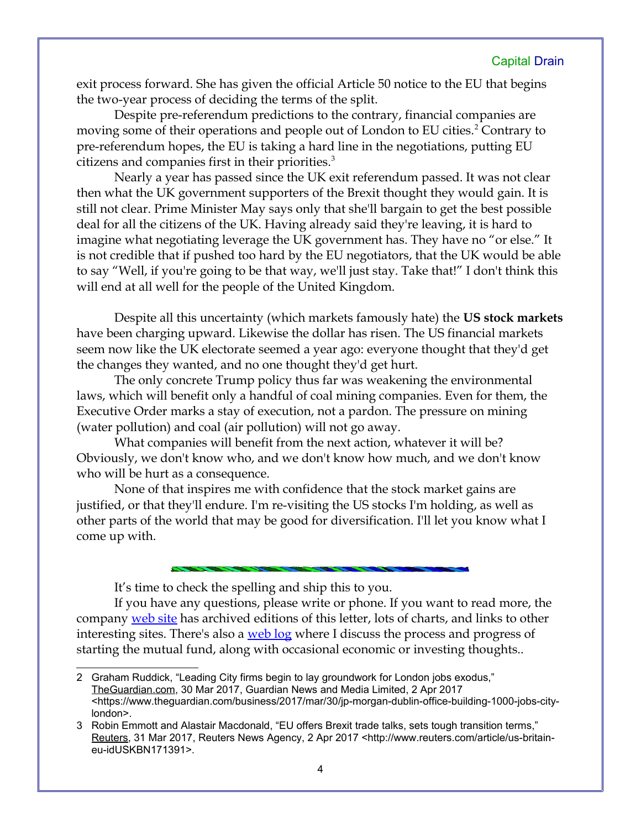exit process forward. She has given the official Article 50 notice to the EU that begins the two-year process of deciding the terms of the split.

Despite pre-referendum predictions to the contrary, financial companies are moving some of their operations and people out of London to EU cities.<sup>[2](#page-3-0)</sup> Contrary to pre-referendum hopes, the EU is taking a hard line in the negotiations, putting EU citizens and companies first in their priorities.<sup>[3](#page-3-1)</sup>

Nearly a year has passed since the UK exit referendum passed. It was not clear then what the UK government supporters of the Brexit thought they would gain. It is still not clear. Prime Minister May says only that she'll bargain to get the best possible deal for all the citizens of the UK. Having already said they're leaving, it is hard to imagine what negotiating leverage the UK government has. They have no "or else." It is not credible that if pushed too hard by the EU negotiators, that the UK would be able to say "Well, if you're going to be that way, we'll just stay. Take that!" I don't think this will end at all well for the people of the United Kingdom.

Despite all this uncertainty (which markets famously hate) the **US stock markets** have been charging upward. Likewise the dollar has risen. The US financial markets seem now like the UK electorate seemed a year ago: everyone thought that they'd get the changes they wanted, and no one thought they'd get hurt.

The only concrete Trump policy thus far was weakening the environmental laws, which will benefit only a handful of coal mining companies. Even for them, the Executive Order marks a stay of execution, not a pardon. The pressure on mining (water pollution) and coal (air pollution) will not go away.

What companies will benefit from the next action, whatever it will be? Obviously, we don't know who, and we don't know how much, and we don't know who will be hurt as a consequence.

None of that inspires me with confidence that the stock market gains are justified, or that they'll endure. I'm re-visiting the US stocks I'm holding, as well as other parts of the world that may be good for diversification. I'll let you know what I come up with.

It's time to check the spelling and ship this to you.

If you have any questions, please write or phone. If you want to read more, the company [web site](http://www.LongspliceInvest.com/newsletter.shtml) has archived editions of this letter, lots of charts, and links to other interesting sites. There's also a [web log](http://www.LongspliceInvestments.com/ricksblog) where I discuss the process and progress of starting the mutual fund, along with occasional economic or investing thoughts..

<span id="page-3-0"></span><sup>2</sup> Graham Ruddick, "Leading City firms begin to lay groundwork for London jobs exodus," TheGuardian.com, 30 Mar 2017, Guardian News and Media Limited, 2 Apr 2017 <https://www.theguardian.com/business/2017/mar/30/jp-morgan-dublin-office-building-1000-jobs-citylondon>.

<span id="page-3-1"></span><sup>3</sup> Robin Emmott and Alastair Macdonald, "EU offers Brexit trade talks, sets tough transition terms," Reuters, 31 Mar 2017, Reuters News Agency, 2 Apr 2017 <http://www.reuters.com/article/us-britaineu-idUSKBN171391>.